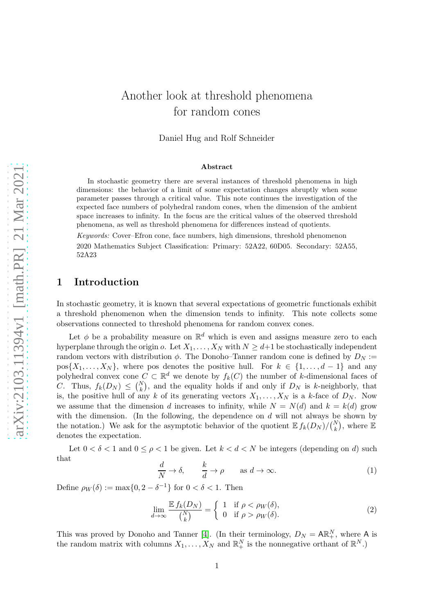# Another look at threshold phenomena for random cones

Daniel Hug and Rolf Schneider

#### Abstract

In stochastic geometry there are several instances of threshold phenomena in high dimensions: the behavior of a limit of some expectation changes abruptly when some parameter passes through a critical value. This note continues the investigation of the expected face numbers of polyhedral random cones, when the dimension of the ambient space increases to infinity. In the focus are the critical values of the observed threshold phenomena, as well as threshold phenomena for differences instead of quotients.

*Keywords:* Cover–Efron cone, face numbers, high dimensions, threshold phenomenon 2020 Mathematics Subject Classification: Primary: 52A22, 60D05. Secondary: 52A55, 52A23

#### 1 Introduction

In stochastic geometry, it is known that several expectations of geometric functionals exhibit a threshold phenomenon when the dimension tends to infinity. This note collects some observations connected to threshold phenomena for random convex cones.

Let  $\phi$  be a probability measure on  $\mathbb{R}^d$  which is even and assigns measure zero to each hyperplane through the origin  $o$ . Let  $X_1, \ldots, X_N$  with  $N \geq d+1$  be stochastically independent random vectors with distribution  $\phi$ . The Donoho–Tanner random cone is defined by  $D_N$ :=  $pos{X_1, \ldots, X_N}$ , where pos denotes the positive hull. For  $k \in \{1, \ldots, d-1\}$  and any polyhedral convex cone  $C \subset \mathbb{R}^d$  we denote by  $f_k(C)$  the number of k-dimensional faces of C. Thus,  $f_k(D_N) \leq {N \choose k}$ , and the equality holds if and only if  $D_N$  is k-neighborly, that is, the positive hull of any k of its generating vectors  $X_1, \ldots, X_N$  is a k-face of  $D_N$ . Now we assume that the dimension d increases to infinity, while  $N = N(d)$  and  $k = k(d)$  grow with the dimension. (In the following, the dependence on  $d$  will not always be shown by the notation.) We ask for the asymptotic behavior of the quotient  $\mathbb{E} f_k(D_N)/\binom{N}{k}$ , where  $\mathbb E$ denotes the expectation.

Let  $0 < \delta < 1$  and  $0 \leq \rho < 1$  be given. Let  $k < d < N$  be integers (depending on d) such that

<span id="page-0-0"></span>
$$
\frac{d}{N} \to \delta, \qquad \frac{k}{d} \to \rho \qquad \text{as } d \to \infty.
$$
 (1)

Define  $\rho_W(\delta) := \max\{0, 2 - \delta^{-1}\}\$ for  $0 < \delta < 1$ . Then

<span id="page-0-1"></span>
$$
\lim_{d \to \infty} \frac{\mathbb{E} f_k(D_N)}{\binom{N}{k}} = \begin{cases} 1 & \text{if } \rho < \rho_W(\delta), \\ 0 & \text{if } \rho > \rho_W(\delta). \end{cases} \tag{2}
$$

This was proved by Donoho and Tanner [\[4\]](#page-13-0). (In their terminology,  $D_N = \mathsf{AR}_+^N$ , where A is the random matrix with columns  $X_1, \ldots, X_N$  and  $\mathbb{R}^N_+$  is the nonnegative orthant of  $\mathbb{R}^N$ .)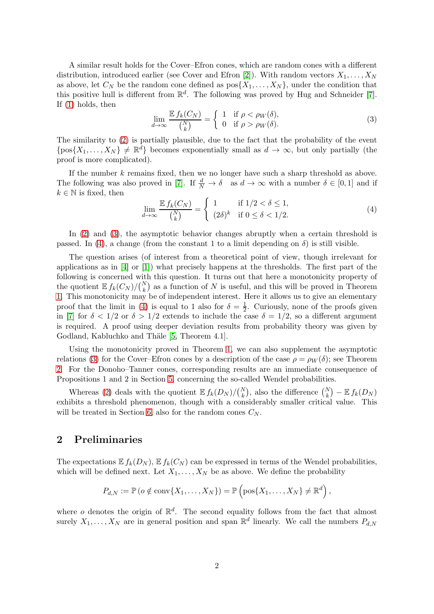A similar result holds for the Cover–Efron cones, which are random cones with a different distribution, introduced earlier (see Cover and Efron [\[2\]](#page-13-1)). With random vectors  $X_1, \ldots, X_N$ as above, let  $C_N$  be the random cone defined as  $pos{X_1, \ldots, X_N}$ , under the condition that this positive hull is different from  $\mathbb{R}^d$ . The following was proved by Hug and Schneider [\[7\]](#page-13-2). If [\(1\)](#page-0-0) holds, then

<span id="page-1-0"></span>
$$
\lim_{d \to \infty} \frac{\mathbb{E} f_k(C_N)}{\binom{N}{k}} = \begin{cases} 1 & \text{if } \rho < \rho_W(\delta), \\ 0 & \text{if } \rho > \rho_W(\delta). \end{cases} \tag{3}
$$

The similarity to [\(2\)](#page-0-1) is partially plausible, due to the fact that the probability of the event  $\{pos\{X_1, \ldots, X_N\} \neq \mathbb{R}^d\}$  becomes exponentially small as  $d \to \infty$ , but only partially (the proof is more complicated).

If the number k remains fixed, then we no longer have such a sharp threshold as above. The following was also proved in [\[7\]](#page-13-2). If  $\frac{d}{N} \to \delta$  as  $d \to \infty$  with a number  $\delta \in [0,1]$  and if  $k \in \mathbb{N}$  is fixed, then

<span id="page-1-1"></span>
$$
\lim_{d \to \infty} \frac{\mathbb{E} f_k(C_N)}{\binom{N}{k}} = \begin{cases} 1 & \text{if } 1/2 < \delta \le 1, \\ (2\delta)^k & \text{if } 0 \le \delta < 1/2. \end{cases} \tag{4}
$$

In [\(2\)](#page-0-1) and [\(3\)](#page-1-0), the asymptotic behavior changes abruptly when a certain threshold is passed. In [\(4\)](#page-1-1), a change (from the constant 1 to a limit depending on  $\delta$ ) is still visible.

The question arises (of interest from a theoretical point of view, though irrelevant for applications as in  $[4]$  or  $[1]$ ) what precisely happens at the thresholds. The first part of the following is concerned with this question. It turns out that here a monotonicity property of the quotient  $\mathbb{E} f_k(C_N)/\binom{N}{k}$  as a function of N is useful, and this will be proved in Theorem [1.](#page-2-0) This monotonicity may be of independent interest. Here it allows us to give an elementary proof that the limit in [\(4\)](#page-1-1) is equal to 1 also for  $\delta = \frac{1}{2}$  $\frac{1}{2}$ . Curiously, none of the proofs given in [\[7\]](#page-13-2) for  $\delta < 1/2$  or  $\delta > 1/2$  extends to include the case  $\delta = 1/2$ , so a different argument is required. A proof using deeper deviation results from probability theory was given by Godland, Kabluchko and Thäle [\[5,](#page-13-4) Theorem 4.1].

Using the monotonicity proved in Theorem [1,](#page-2-0) we can also supplement the asymptotic relations [\(3\)](#page-1-0) for the Cover–Efron cones by a description of the case  $\rho = \rho_W(\delta)$ ; see Theorem [2.](#page-5-0) For the Donoho–Tanner cones, corresponding results are an immediate consequence of Propositions 1 and 2 in Section [5,](#page-4-0) concerning the so-called Wendel probabilities.

Whereas [\(2\)](#page-0-1) deals with the quotient  $\mathbb{E} f_k(D_N)/\binom{N}{k}$ , also the difference  $\binom{N}{k} - \mathbb{E} f_k(D_N)$ exhibits a threshold phenomenon, though with a considerably smaller critical value. This will be treated in Section [6,](#page-9-0) also for the random cones  $C_N$ .

# 2 Preliminaries

The expectations  $E f_k(D_N)$ ,  $E f_k(C_N)$  can be expressed in terms of the Wendel probabilities, which will be defined next. Let  $X_1, \ldots, X_N$  be as above. We define the probability

$$
P_{d,N} := \mathbb{P}\left(o \notin \mathrm{conv}\{X_1,\ldots,X_N\}\right) = \mathbb{P}\left(\mathrm{pos}\{X_1,\ldots,X_N\} \neq \mathbb{R}^d\right),\,
$$

where o denotes the origin of  $\mathbb{R}^d$ . The second equality follows from the fact that almost surely  $X_1, \ldots, X_N$  are in general position and span  $\mathbb{R}^d$  linearly. We call the numbers  $P_{d,N}$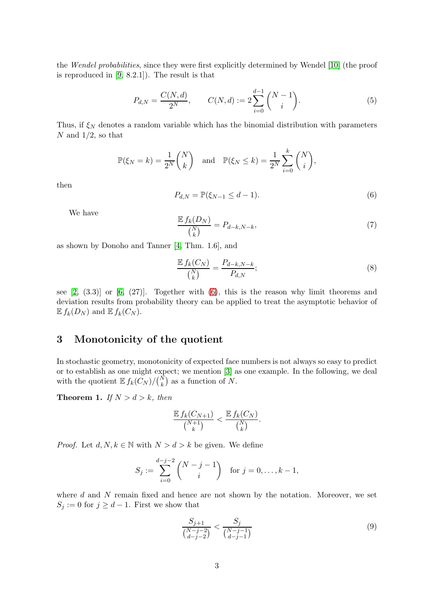the *Wendel probabilities*, since they were first explicitly determined by Wendel [\[10\]](#page-13-5) (the proof is reproduced in [\[9,](#page-13-6) 8.2.1]). The result is that

<span id="page-2-4"></span>
$$
P_{d,N} = \frac{C(N,d)}{2^N}, \qquad C(N,d) := 2\sum_{i=0}^{d-1} \binom{N-1}{i}.
$$
 (5)

Thus, if  $\xi_N$  denotes a random variable which has the binomial distribution with parameters  $N$  and  $1/2$ , so that

$$
\mathbb{P}(\xi_N = k) = \frac{1}{2^N} \binom{N}{k} \quad \text{and} \quad \mathbb{P}(\xi_N \le k) = \frac{1}{2^N} \sum_{i=0}^k \binom{N}{i},
$$

then

<span id="page-2-1"></span>
$$
P_{d,N} = \mathbb{P}(\xi_{N-1} \le d-1). \tag{6}
$$

We have

<span id="page-2-5"></span>
$$
\frac{\mathbb{E} f_k(D_N)}{\binom{N}{k}} = P_{d-k,N-k},\tag{7}
$$

as shown by Donoho and Tanner [\[4,](#page-13-0) Thm. 1.6], and

<span id="page-2-3"></span>
$$
\frac{\mathbb{E} f_k(C_N)}{\binom{N}{k}} = \frac{P_{d-k,N-k}}{P_{d,N}};
$$
\n(8)

see  $[2, (3.3)]$  or  $[6, (27)]$ . Together with  $(6)$ , this is the reason why limit theorems and deviation results from probability theory can be applied to treat the asymptotic behavior of  $E f_k(D_N)$  and  $E f_k(C_N)$ .

# 3 Monotonicity of the quotient

In stochastic geometry, monotonicity of expected face numbers is not always so easy to predict or to establish as one might expect; we mention [\[3\]](#page-13-8) as one example. In the following, we deal with the quotient  $\mathbb{E} f_k(C_N)/\binom{N}{k}$  as a function of N.

<span id="page-2-0"></span>**Theorem 1.** *If*  $N > d > k$ *, then* 

$$
\frac{\mathbb{E} f_k(C_{N+1})}{\binom{N+1}{k}} < \frac{\mathbb{E} f_k(C_N)}{\binom{N}{k}}.
$$

*Proof.* Let  $d, N, k \in \mathbb{N}$  with  $N > d > k$  be given. We define

$$
S_j := \sum_{i=0}^{d-j-2} \binom{N-j-1}{i} \quad \text{for } j = 0, \dots, k-1,
$$

where  $d$  and  $N$  remain fixed and hence are not shown by the notation. Moreover, we set  $S_j := 0$  for  $j \geq d-1$ . First we show that

<span id="page-2-2"></span>
$$
\frac{S_{j+1}}{\binom{N-j-2}{d-j-2}} < \frac{S_j}{\binom{N-j-1}{d-j-1}}\tag{9}
$$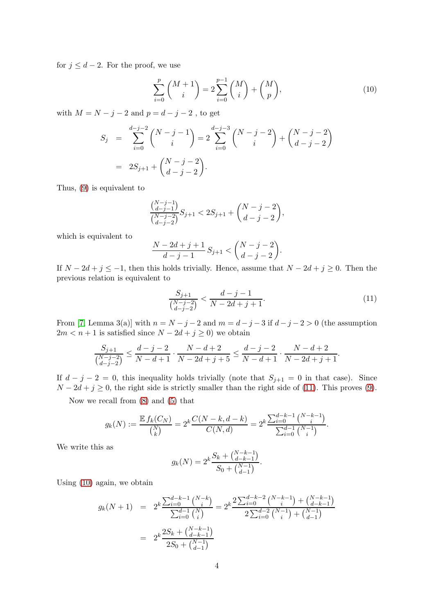for  $j \leq d-2$ . For the proof, we use

<span id="page-3-1"></span>
$$
\sum_{i=0}^{p} \binom{M+1}{i} = 2 \sum_{i=0}^{p-1} \binom{M}{i} + \binom{M}{p},\tag{10}
$$

with  $M = N - j - 2$  and  $p = d - j - 2$ , to get

$$
S_j = \sum_{i=0}^{d-j-2} {N-j-1 \choose i} = 2 \sum_{i=0}^{d-j-3} {N-j-2 \choose i} + {N-j-2 \choose d-j-2}
$$
  
=  $2S_{j+1} + {N-j-2 \choose d-j-2}.$ 

Thus, [\(9\)](#page-2-2) is equivalent to

$$
\binom{\binom{N-j-1}{d-j-1}}{\binom{N-j-2}{d-j-2}}S_{j+1} < 2S_{j+1} + \binom{N-j-2}{d-j-2},
$$

which is equivalent to

$$
\frac{N-2d+j+1}{d-j-1}S_{j+1} < \binom{N-j-2}{d-j-2}.
$$

If  $N - 2d + j \leq -1$ , then this holds trivially. Hence, assume that  $N - 2d + j \geq 0$ . Then the previous relation is equivalent to

<span id="page-3-0"></span>
$$
\frac{S_{j+1}}{\binom{N-j-2}{d-j-2}} < \frac{d-j-1}{N-2d+j+1}.\tag{11}
$$

From [\[7,](#page-13-2) Lemma 3(a)] with  $n = N - j - 2$  and  $m = d - j - 3$  if  $d - j - 2 > 0$  (the assumption  $2m < n+1$  is satisfied since  $N - 2d + j \ge 0$ ) we obtain

$$
\frac{S_{j+1}}{\binom{N-j-2}{d-j-2}} \le \frac{d-j-2}{N-d+1} \cdot \frac{N-d+2}{N-2d+j+5} \le \frac{d-j-2}{N-d+1} \cdot \frac{N-d+2}{N-2d+j+1}.
$$

If  $d - j - 2 = 0$ , this inequality holds trivially (note that  $S_{j+1} = 0$  in that case). Since  $N - 2d + j \geq 0$ , the right side is strictly smaller than the right side of [\(11\)](#page-3-0). This proves [\(9\)](#page-2-2).

Now we recall from [\(8\)](#page-2-3) and [\(5\)](#page-2-4) that

$$
g_k(N) := \frac{\mathbb{E} f_k(C_N)}{\binom{N}{k}} = 2^k \frac{C(N-k, d-k)}{C(N, d)} = 2^k \frac{\sum_{i=0}^{d-k-1} \binom{N-k-1}{i}}{\sum_{i=0}^{d-1} \binom{N-1}{i}}.
$$

We write this as

$$
g_k(N) = 2^k \frac{S_k + {N-k-1 \choose d-k-1}}{S_0 + {N-1 \choose d-1}}.
$$

Using [\(10\)](#page-3-1) again, we obtain

$$
g_k(N+1) = 2^k \frac{\sum_{i=0}^{d-k-1} {N-k \choose i}}{\sum_{i=0}^{d-1} {N \choose i}} = 2^k \frac{2^{\sum_{i=0}^{d-k-2} {N-k-1 \choose i} + {N-k-1 \choose d-k-1}}}{2^{\sum_{i=0}^{d-2} {N-1 \choose i} + {N-1 \choose d-1}}}
$$
  
= 
$$
2^k \frac{2S_k + {N-k-1 \choose d-k-1}}{2S_0 + {N-1 \choose d-1}}
$$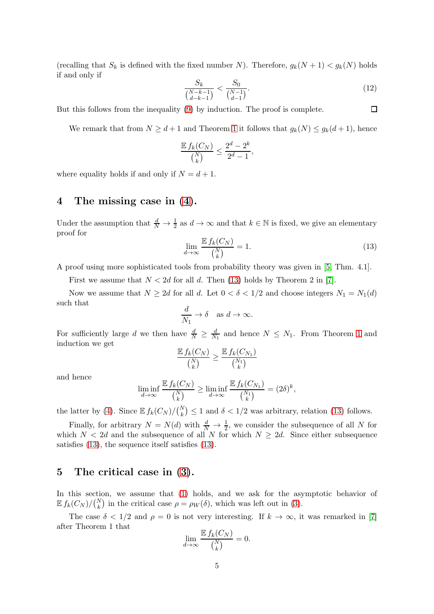(recalling that  $S_k$  is defined with the fixed number N). Therefore,  $g_k(N+1) < g_k(N)$  holds if and only if

$$
\frac{S_k}{\binom{N-k-1}{d-k-1}} < \frac{S_0}{\binom{N-1}{d-1}}.\tag{12}
$$

But this follows from the inequality [\(9\)](#page-2-2) by induction. The proof is complete.

We remark that from  $N \geq d+1$  and Theorem [1](#page-2-0) it follows that  $g_k(N) \leq g_k(d+1)$ , hence

$$
\frac{\mathbb{E} f_k(C_N)}{\binom{N}{k}} \le \frac{2^d - 2^k}{2^d - 1},
$$

where equality holds if and only if  $N = d + 1$ .

# 4 The missing case in [\(4\)](#page-1-1).

Under the assumption that  $\frac{d}{N} \to \frac{1}{2}$  as  $d \to \infty$  and that  $k \in \mathbb{N}$  is fixed, we give an elementary proof for

<span id="page-4-1"></span>
$$
\lim_{d \to \infty} \frac{\mathbb{E} f_k(C_N)}{\binom{N}{k}} = 1. \tag{13}
$$

A proof using more sophisticated tools from probability theory was given in [\[5,](#page-13-4) Thm. 4.1].

First we assume that  $N < 2d$  for all d. Then [\(13\)](#page-4-1) holds by Theorem 2 in [\[7\]](#page-13-2).

Now we assume that  $N \geq 2d$  for all d. Let  $0 < \delta < 1/2$  and choose integers  $N_1 = N_1(d)$ such that

$$
\frac{d}{N_1} \to \delta \quad \text{as } d \to \infty.
$$

For sufficiently large d we then have  $\frac{d}{N} \geq \frac{d}{N}$  $\frac{d}{N_1}$  and hence  $N \leq N_1$ . From Theorem [1](#page-2-0) and induction we get

$$
\frac{\mathbb{E} f_k(C_N)}{\binom{N}{k}} \ge \frac{\mathbb{E} f_k(C_{N_1})}{\binom{N_1}{k}}
$$

and hence

$$
\liminf_{d \to \infty} \frac{\mathbb{E} f_k(C_N)}{\binom{N}{k}} \ge \liminf_{d \to \infty} \frac{\mathbb{E} f_k(C_{N_1})}{\binom{N_1}{k}} = (2\delta)^k,
$$

the latter by [\(4\)](#page-1-1). Since  $\mathbb{E} f_k(C_N)/\binom{N}{k} \leq 1$  and  $\delta < 1/2$  was arbitrary, relation [\(13\)](#page-4-1) follows.

Finally, for arbitrary  $N = N(d)$  with  $\frac{d}{N} \to \frac{1}{2}$ , we consider the subsequence of all N for which  $N < 2d$  and the subsequence of all N for which  $N \geq 2d$ . Since either subsequence satisfies [\(13\)](#page-4-1), the sequence itself satisfies [\(13\)](#page-4-1).

# <span id="page-4-0"></span>5 The critical case in [\(3\)](#page-1-0).

In this section, we assume that [\(1\)](#page-0-0) holds, and we ask for the asymptotic behavior of  $\mathbb{E} f_k(C_N)/\binom{N}{k}$  in the critical case  $\rho = \rho_W(\delta)$ , which was left out in [\(3\)](#page-1-0).

The case  $\delta < 1/2$  and  $\rho = 0$  is not very interesting. If  $k \to \infty$ , it was remarked in [\[7\]](#page-13-2) after Theorem 1 that  $E(f(\alpha))$ 

$$
\lim_{d \to \infty} \frac{\mathbb{E} f_k(C_N)}{\binom{N}{k}} = 0.
$$

 $\Box$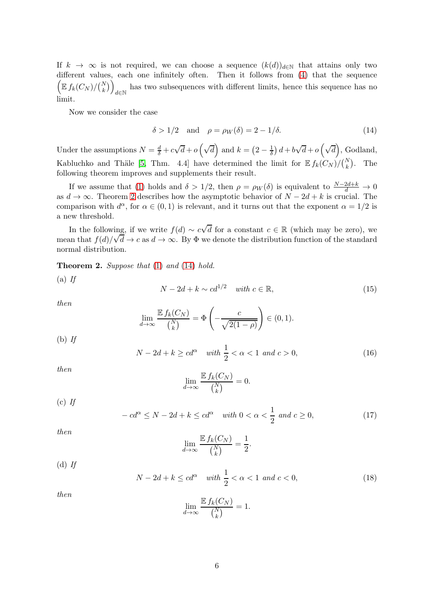If  $k \to \infty$  is not required, we can choose a sequence  $(k(d))_{d\in\mathbb{N}}$  that attains only two different values, each one infinitely often. Then it follows from [\(4\)](#page-1-1) that the sequence  $\left(\mathbb{E} f_k(C_N)/\binom{N}{k}\right)$ has two subsequences with different limits, hence this sequence has no  $d\in\mathbb{N}$ limit.

Now we consider the case

<span id="page-5-1"></span>
$$
\delta > 1/2 \quad \text{and} \quad \rho = \rho_W(\delta) = 2 - 1/\delta. \tag{14}
$$

Under the assumptions  $N = \frac{d}{\delta} + c\sqrt{d} + o\left(\sqrt{d}\right)$  and  $k = \left(2 - \frac{1}{\delta}\right)d + b\sqrt{d} + o\left(\sqrt{d}\right)$ , Godland, Kabluchko and Thäle [\[5,](#page-13-4) Thm. 4.4] have determined the limit for  $\mathbb{E} f_k(C_N)/\binom{N}{k}$ . The following theorem improves and supplements their result.

If we assume that [\(1\)](#page-0-0) holds and  $\delta > 1/2$ , then  $\rho = \rho_W(\delta)$  is equivalent to  $\frac{N-2d+k}{d} \to 0$ as  $d \to \infty$ . Theorem [2](#page-5-0) describes how the asymptotic behavior of  $N - 2d + k$  is crucial. The comparison with  $d^{\alpha}$ , for  $\alpha \in (0,1)$  is relevant, and it turns out that the exponent  $\alpha = 1/2$  is a new threshold.

In the following, if we write  $f(d) \sim c\sqrt{d}$  for a constant  $c \in \mathbb{R}$  (which may be zero), we mean that  $f(d)/\sqrt{d} \to c$  as  $d \to \infty$ . By  $\Phi$  we denote the distribution function of the standard normal distribution.

<span id="page-5-0"></span>Theorem 2. *Suppose that* [\(1\)](#page-0-0) *and* [\(14\)](#page-5-1) *hold.*

(a) *If*

<span id="page-5-2"></span>
$$
N - 2d + k \sim cd^{1/2} \quad \text{with } c \in \mathbb{R}, \tag{15}
$$

*then*

$$
\lim_{d \to \infty} \frac{\mathbb{E} f_k(C_N)}{\binom{N}{k}} = \Phi\left(-\frac{c}{\sqrt{2(1-\rho)}}\right) \in (0,1).
$$

(b) *If*

<span id="page-5-3"></span>
$$
N - 2d + k \ge cd^{\alpha} \quad \text{with } \frac{1}{2} < \alpha < 1 \text{ and } c > 0,
$$
 (16)

*then*

$$
\lim_{d \to \infty} \frac{\mathbb{E} f_k(C_N)}{\binom{N}{k}} = 0.
$$

(c) *If*

<span id="page-5-4"></span>
$$
-cd^{\alpha} \le N - 2d + k \le cd^{\alpha} \quad \text{with } 0 < \alpha < \frac{1}{2} \text{ and } c \ge 0,\tag{17}
$$

*then*

$$
\lim_{d \to \infty} \frac{\mathbb{E} f_k(C_N)}{\binom{N}{k}} = \frac{1}{2}.
$$

<span id="page-5-5"></span>
$$
N - 2d + k \le cd^{\alpha} \quad \text{with } \frac{1}{2} < \alpha < 1 \text{ and } c < 0,
$$
\n
$$
(18)
$$

*then*

(d) *If*

$$
\lim_{d \to \infty} \frac{\mathbb{E} f_k(C_N)}{\binom{N}{k}} = 1.
$$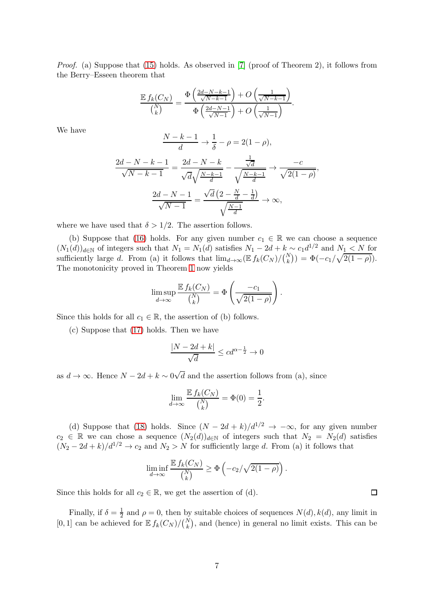*Proof.* (a) Suppose that [\(15\)](#page-5-2) holds. As observed in [\[7\]](#page-13-2) (proof of Theorem 2), it follows from the Berry–Esseen theorem that

$$
\frac{\mathbb{E} f_k(C_N)}{\binom{N}{k}} = \frac{\Phi\left(\frac{2d-N-k-1}{\sqrt{N-k-1}}\right) + O\left(\frac{1}{\sqrt{N-k-1}}\right)}{\Phi\left(\frac{2d-N-1}{\sqrt{N-1}}\right) + O\left(\frac{1}{\sqrt{N-1}}\right)}.
$$

We have

$$
\frac{N-k-1}{d} \to \frac{1}{\delta} - \rho = 2(1-\rho),
$$

$$
\frac{2d - N - k - 1}{\sqrt{N - k - 1}} = \frac{2d - N - k}{\sqrt{d}\sqrt{\frac{N - k - 1}{d}}} - \frac{\frac{1}{\sqrt{d}}}{\sqrt{\frac{N - k - 1}{d}}} \to \frac{-c}{\sqrt{2(1 - \rho)}},
$$

$$
\frac{2d - N - 1}{\sqrt{N - 1}} = \frac{\sqrt{d}\left(2 - \frac{N}{d} - \frac{1}{d}\right)}{\sqrt{\frac{N - 1}{d}}} \to \infty,
$$

where we have used that  $\delta > 1/2$ . The assertion follows.

(b) Suppose that [\(16\)](#page-5-3) holds. For any given number  $c_1 \in \mathbb{R}$  we can choose a sequence  $(N_1(d))_{d\in\mathbb{N}}$  of integers such that  $N_1 = N_1(d)$  satisfies  $N_1 - 2d + k \sim c_1 d^{1/2}$  and  $N_1 \leq N$  for sufficiently large d. From (a) it follows that  $\lim_{d\to\infty} (\mathbb{E} f_k(C_N)/{N \choose k}) = \Phi(-c_1/\sqrt{2(1-\rho)})$ . The monotonicity proved in Theorem [1](#page-2-0) now yields

$$
\limsup_{d \to \infty} \frac{\mathbb{E} f_k(C_N)}{\binom{N}{k}} = \Phi \left( \frac{-c_1}{\sqrt{2(1-\rho)}} \right).
$$

Since this holds for all  $c_1 \in \mathbb{R}$ , the assertion of (b) follows.

(c) Suppose that [\(17\)](#page-5-4) holds. Then we have

$$
\frac{|N - 2d + k|}{\sqrt{d}} \le cd^{\alpha - \frac{1}{2}} \to 0
$$

as  $d \to \infty$ . Hence  $N - 2d + k \sim 0\sqrt{d}$  and the assertion follows from (a), since

$$
\lim_{d \to \infty} \frac{\mathbb{E} f_k(C_N)}{\binom{N}{k}} = \Phi(0) = \frac{1}{2}.
$$

(d) Suppose that [\(18\)](#page-5-5) holds. Since  $(N - 2d + k)/d^{1/2} \rightarrow -\infty$ , for any given number  $c_2 \in \mathbb{R}$  we can chose a sequence  $(N_2(d))_{d \in \mathbb{N}}$  of integers such that  $N_2 = N_2(d)$  satisfies  $(N_2 - 2d + k)/d^{1/2} \rightarrow c_2$  and  $N_2 > N$  for sufficiently large d. From (a) it follows that

$$
\liminf_{d \to \infty} \frac{\mathbb{E} f_k(C_N)}{\binom{N}{k}} \ge \Phi\left(-c_2/\sqrt{2(1-\rho)}\right).
$$

 $\Box$ 

Since this holds for all  $c_2 \in \mathbb{R}$ , we get the assertion of (d).

Finally, if  $\delta = \frac{1}{2}$  $\frac{1}{2}$  and  $\rho = 0$ , then by suitable choices of sequences  $N(d)$ ,  $k(d)$ , any limit in [0, 1] can be achieved for  $\mathbb{E} f_k(C_N)/\binom{N}{k}$ , and (hence) in general no limit exists. This can be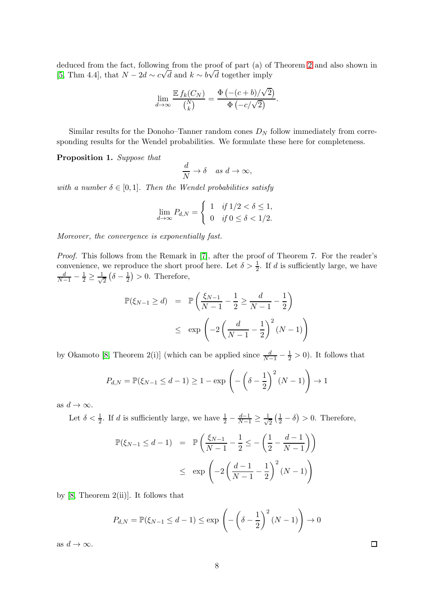deduced from the fact, following from the proof of part (a) of Theorem [2](#page-5-0) and also shown in [\[5,](#page-13-4) Thm 4.4], that  $N - 2d \sim c\sqrt{d}$  and  $k \sim b\sqrt{d}$  together imply

$$
\lim_{d \to \infty} \frac{\mathbb{E} f_k(C_N)}{\binom{N}{k}} = \frac{\Phi(- (c+b)/\sqrt{2})}{\Phi(-c/\sqrt{2})}.
$$

Similar results for the Donoho–Tanner random cones  $D<sub>N</sub>$  follow immediately from corresponding results for the Wendel probabilities. We formulate these here for completeness.

<span id="page-7-0"></span>Proposition 1. *Suppose that*

$$
\frac{d}{N} \to \delta \quad as \ d \to \infty,
$$

*with a number*  $\delta \in [0,1]$ *. Then the Wendel probabilities satisfy* 

$$
\lim_{d \to \infty} P_{d,N} = \begin{cases} 1 & \text{if } 1/2 < \delta \le 1, \\ 0 & \text{if } 0 \le \delta < 1/2. \end{cases}
$$

*Moreover, the convergence is exponentially fast.*

*Proof.* This follows from the Remark in [\[7\]](#page-13-2), after the proof of Theorem 7. For the reader's convenience, we reproduce the short proof here. Let  $\delta > \frac{1}{2}$ . If d is sufficiently large, we have  $\frac{d}{N-1}-\frac{1}{2}\geq\frac{1}{\sqrt{2}}$  $\frac{1}{2}(\delta - \frac{1}{2})$  $(\frac{1}{2}) > 0$ . Therefore,

$$
\mathbb{P}(\xi_{N-1} \ge d) = \mathbb{P}\left(\frac{\xi_{N-1}}{N-1} - \frac{1}{2} \ge \frac{d}{N-1} - \frac{1}{2}\right) \le \exp\left(-2\left(\frac{d}{N-1} - \frac{1}{2}\right)^2 (N-1)\right)
$$

by Okamoto [\[8,](#page-13-9) Theorem 2(i)] (which can be applied since  $\frac{d}{N-1} - \frac{1}{2} > 0$ ). It follows that

$$
P_{d,N} = \mathbb{P}(\xi_{N-1} \le d-1) \ge 1 - \exp\left(-\left(\delta - \frac{1}{2}\right)^2 (N-1)\right) \to 1
$$

as  $d \to \infty$ .

Let  $\delta < \frac{1}{2}$ . If d is sufficiently large, we have  $\frac{1}{2} - \frac{d-1}{N-1} \ge \frac{1}{\sqrt{2}}$  $\frac{1}{2}(\frac{1}{2}-\delta) > 0$ . Therefore,

$$
\mathbb{P}(\xi_{N-1} \le d - 1) = \mathbb{P}\left(\frac{\xi_{N-1}}{N-1} - \frac{1}{2} \le -\left(\frac{1}{2} - \frac{d-1}{N-1}\right)\right) \le \exp\left(-2\left(\frac{d-1}{N-1} - \frac{1}{2}\right)^2 (N-1)\right)
$$

by  $[8,$  Theorem 2(ii)]. It follows that

$$
P_{d,N} = \mathbb{P}(\xi_{N-1} \le d-1) \le \exp\left(-\left(\delta - \frac{1}{2}\right)^2 (N-1)\right) \to 0
$$

as  $d \to \infty$ .

 $\Box$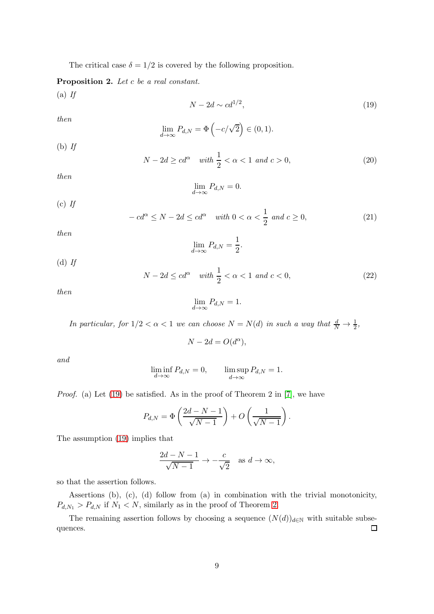The critical case  $\delta = 1/2$  is covered by the following proposition.

<span id="page-8-1"></span>Proposition 2. *Let* c *be a real constant.*

(a) *If*

<span id="page-8-0"></span>
$$
N - 2d \sim cd^{1/2},\tag{19}
$$

*then*

$$
\lim_{d \to \infty} P_{d,N} = \Phi\left(-c/\sqrt{2}\right) \in (0,1).
$$

(b) *If*

$$
N - 2d \ge cd^{\alpha} \quad \text{with } \frac{1}{2} < \alpha < 1 \text{ and } c > 0,
$$
 (20)

*then*

$$
\lim_{d \to \infty} P_{d,N} = 0.
$$

(c) *If*

$$
-cd^{\alpha} \le N - 2d \le cd^{\alpha} \quad \text{with } 0 < \alpha < \frac{1}{2} \text{ and } c \ge 0,\tag{21}
$$

*then*

(d) *If*

$$
\lim_{d \to \infty} P_{d,N} = \frac{1}{2}.
$$

$$
N - 2d \le cd^{\alpha} \quad \text{with } \frac{1}{2} < \alpha < 1 \text{ and } c < 0,
$$
 (22)

*then*

$$
\lim_{d \to \infty} P_{d,N} = 1.
$$

*In particular, for*  $1/2 < \alpha < 1$  *we can choose*  $N = N(d)$  *in such a way that*  $\frac{d}{N} \to \frac{1}{2}$ *,* 

 $N - 2d = O(d^{\alpha}),$ 

*and*

$$
\liminf_{d \to \infty} P_{d,N} = 0, \qquad \limsup_{d \to \infty} P_{d,N} = 1.
$$

*Proof.* (a) Let [\(19\)](#page-8-0) be satisfied. As in the proof of Theorem 2 in [\[7\]](#page-13-2), we have

$$
P_{d,N} = \Phi\left(\frac{2d-N-1}{\sqrt{N-1}}\right) + O\left(\frac{1}{\sqrt{N-1}}\right).
$$

The assumption [\(19\)](#page-8-0) implies that

$$
\frac{2d-N-1}{\sqrt{N-1}} \to -\frac{c}{\sqrt{2}} \quad \text{as } d \to \infty,
$$

so that the assertion follows.

Assertions (b), (c), (d) follow from (a) in combination with the trivial monotonicity,  $P_{d,N_1} > P_{d,N}$  if  $N_1 < N$ , similarly as in the proof of Theorem [2.](#page-5-0)

The remaining assertion follows by choosing a sequence  $(N(d))_{d\in\mathbb{N}}$  with suitable subse-<br>nces. quences.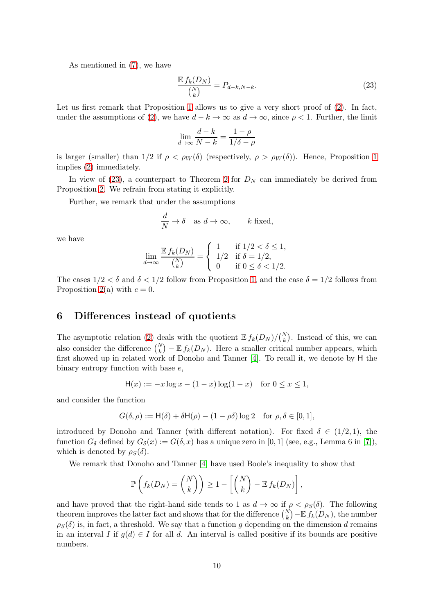As mentioned in [\(7\)](#page-2-5), we have

<span id="page-9-1"></span>
$$
\frac{\mathbb{E} f_k(D_N)}{\binom{N}{k}} = P_{d-k,N-k}.\tag{23}
$$

Let us first remark that Proposition [1](#page-7-0) allows us to give a very short proof of  $(2)$ . In fact, under the assumptions of [\(2\)](#page-0-1), we have  $d - k \to \infty$  as  $d \to \infty$ , since  $\rho < 1$ . Further, the limit

$$
\lim_{d \to \infty} \frac{d-k}{N-k} = \frac{1-\rho}{1/\delta - \rho}
$$

is larger (smaller) than  $1/2$  if  $\rho < \rho_W(\delta)$  (respectively,  $\rho > \rho_W(\delta)$ ). Hence, Proposition [1](#page-7-0) implies [\(2\)](#page-0-1) immediately.

In view of [\(23\)](#page-9-1), a counterpart to Theorem [2](#page-5-0) for  $D<sub>N</sub>$  can immediately be derived from Proposition [2.](#page-8-1) We refrain from stating it explicitly.

Further, we remark that under the assumptions

$$
\frac{d}{N} \to \delta \quad \text{as } d \to \infty, \qquad k \text{ fixed},
$$

we have

$$
\lim_{d \to \infty} \frac{\mathbb{E} f_k(D_N)}{\binom{N}{k}} = \begin{cases} 1 & \text{if } 1/2 < \delta \le 1, \\ 1/2 & \text{if } \delta = 1/2, \\ 0 & \text{if } 0 \le \delta < 1/2. \end{cases}
$$

The cases  $1/2 < \delta$  and  $\delta < 1/2$  follow from Proposition [1,](#page-7-0) and the case  $\delta = 1/2$  follows from Proposition [2\(](#page-8-1)a) with  $c = 0$ .

### <span id="page-9-0"></span>6 Differences instead of quotients

The asymptotic relation [\(2\)](#page-0-1) deals with the quotient  $\mathbb{E} f_k(D_N)/\binom{N}{k}$ . Instead of this, we can also consider the difference  $\binom{N}{k} - \mathbb{E} f_k(D_N)$ . Here a smaller critical number appears, which first showed up in related work of Donoho and Tanner [\[4\]](#page-13-0). To recall it, we denote by H the binary entropy function with base e,

$$
H(x) := -x \log x - (1 - x) \log(1 - x) \text{ for } 0 \le x \le 1,
$$

and consider the function

$$
G(\delta,\rho):=\mathsf{H}(\delta)+\delta\mathsf{H}(\rho)-(1-\rho\delta)\log 2\quad\text{for }\rho,\delta\in[0,1],
$$

introduced by Donoho and Tanner (with different notation). For fixed  $\delta \in (1/2, 1)$ , the function  $G_{\delta}$  defined by  $G_{\delta}(x) := G(\delta, x)$  has a unique zero in [0, 1] (see, e.g., Lemma 6 in [\[7\]](#page-13-2)), which is denoted by  $\rho_S(\delta)$ .

We remark that Donoho and Tanner [\[4\]](#page-13-0) have used Boole's inequality to show that

$$
\mathbb{P}\left(f_k(D_N)=\binom{N}{k}\right)\geq 1-\left[\binom{N}{k}-\mathbb{E} f_k(D_N)\right],
$$

and have proved that the right-hand side tends to 1 as  $d \to \infty$  if  $\rho < \rho_S(\delta)$ . The following theorem improves the latter fact and shows that for the difference  $\binom{N}{k} - \mathbb{E} f_k(D_N)$ , the number  $\rho_S(\delta)$  is, in fact, a threshold. We say that a function g depending on the dimension d remains in an interval I if  $g(d) \in I$  for all d. An interval is called positive if its bounds are positive numbers.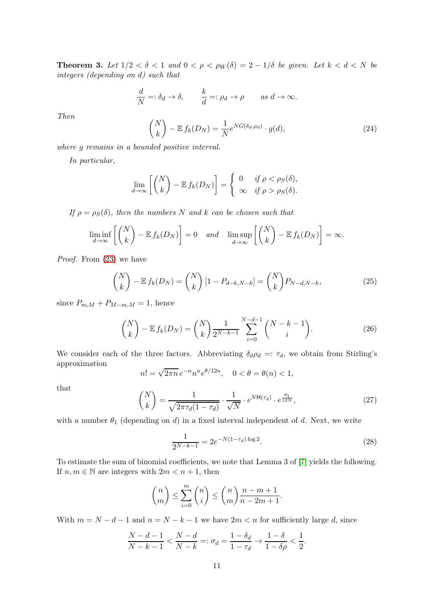<span id="page-10-3"></span>**Theorem 3.** Let  $1/2 < \delta < 1$  and  $0 < \rho < \rho_W(\delta) = 2 - 1/\delta$  be given. Let  $k < d < N$  be *integers (depending on* d*) such that*

$$
\frac{d}{N} =: \delta_d \to \delta, \qquad \frac{k}{d} =: \rho_d \to \rho \qquad \text{as } d \to \infty.
$$

*Then*

<span id="page-10-2"></span>
$$
\binom{N}{k} - \mathbb{E} f_k(D_N) = \frac{1}{N} e^{NG(\delta_d, \rho_d)} \cdot g(d),\tag{24}
$$

*where* g *remains in a bounded positive interval.*

*In particular,*

$$
\lim_{d \to \infty} \left[ \binom{N}{k} - \mathbb{E} f_k(D_N) \right] = \begin{cases} 0 & \text{if } \rho < \rho_S(\delta), \\ \infty & \text{if } \rho > \rho_S(\delta). \end{cases}
$$

*If*  $\rho = \rho_S(\delta)$ *, then the numbers* N *and* k *can be chosen such that* 

$$
\liminf_{d \to \infty} \left[ \binom{N}{k} - \mathbb{E} f_k(D_N) \right] = 0 \quad \text{and} \quad \limsup_{d \to \infty} \left[ \binom{N}{k} - \mathbb{E} f_k(D_N) \right] = \infty.
$$

*Proof.* From [\(23\)](#page-9-1) we have

$$
\binom{N}{k} - \mathbb{E} f_k(D_N) = \binom{N}{k} \left[1 - P_{d-k, N-k}\right] = \binom{N}{k} P_{N-d, N-k},\tag{25}
$$

since  $P_{m,M} + P_{M-m,M} = 1$ , hence

$$
\binom{N}{k} - \mathbb{E} f_k(D_N) = \binom{N}{k} \frac{1}{2^{N-k-1}} \sum_{i=0}^{N-d-1} \binom{N-k-1}{i}.
$$
 (26)

We consider each of the three factors. Abbreviating  $\delta_d \rho_d =: \tau_d$ , we obtain from Stirling's approximation

$$
n! = \sqrt{2\pi n} \, e^{-n} n^n e^{\theta/12n}, \quad 0 < \theta = \theta(n) < 1,
$$

that

<span id="page-10-0"></span>
$$
\binom{N}{k} = \frac{1}{\sqrt{2\pi\tau_d(1-\tau_d)}} \cdot \frac{1}{\sqrt{N}} \cdot e^{N\mathsf{H}(\tau_d)} \cdot e^{\frac{\theta_1}{12N}},\tag{27}
$$

with a number  $\theta_1$  (depending on d) in a fixed interval independent of d. Next, we write

<span id="page-10-1"></span>
$$
\frac{1}{2^{N-k-1}} = 2e^{-N(1-\tau_d)\log 2}.\tag{28}
$$

To estimate the sum of binomial coefficients, we note that Lemma 3 of [\[7\]](#page-13-2) yields the following. If  $n, m \in \mathbb{N}$  are integers with  $2m < n+1$ , then

$$
\binom{n}{m} \le \sum_{i=0}^m \binom{n}{i} \le \binom{n}{m} \frac{n-m+1}{n-2m+1}.
$$

With  $m = N - d - 1$  and  $n = N - k - 1$  we have  $2m < n$  for sufficiently large d, since

$$
\frac{N-d-1}{N-k-1} < \frac{N-d}{N-k} =: \sigma_d = \frac{1-\delta_d}{1-\tau_d} \to \frac{1-\delta}{1-\delta\rho} < \frac{1}{2}.
$$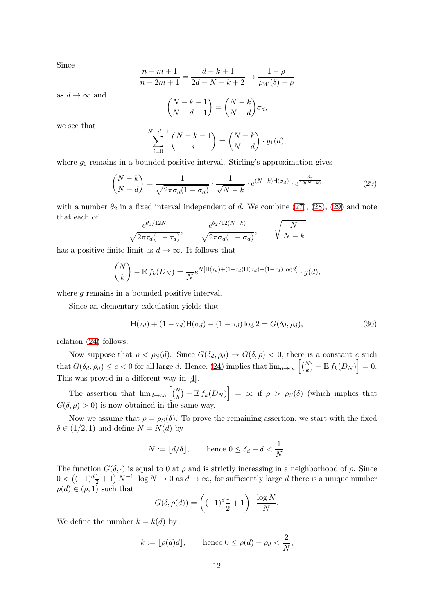Since

$$
\frac{n-m+1}{n-2m+1} = \frac{d-k+1}{2d-N-k+2} \rightarrow \frac{1-\rho}{\rho_W(\delta)-\rho}
$$

as  $d \to \infty$  and

$$
\binom{N-k-1}{N-d-1} = \binom{N-k}{N-d} \sigma_d,
$$

we see that

$$
\sum_{i=0}^{N-d-1} {N-k-1 \choose i} = {N-k \choose N-d} \cdot g_1(d),
$$

where  $g_1$  remains in a bounded positive interval. Stirling's approximation gives

<span id="page-11-0"></span>
$$
\binom{N-k}{N-d} = \frac{1}{\sqrt{2\pi\sigma_d(1-\sigma_d)}} \cdot \frac{1}{\sqrt{N-k}} \cdot e^{(N-k)\mathsf{H}(\sigma_d)} \cdot e^{\frac{\theta_2}{12(N-k)}} \tag{29}
$$

with a number  $\theta_2$  in a fixed interval independent of d. We combine [\(27\)](#page-10-0), [\(28\)](#page-10-1), [\(29\)](#page-11-0) and note that each of

$$
\frac{e^{\theta_1/12N}}{\sqrt{2\pi\tau_d(1-\tau_d)}}, \qquad \frac{e^{\theta_2/12(N-k)}}{\sqrt{2\pi\sigma_d(1-\sigma_d)}}, \qquad \sqrt{\frac{N}{N-k}}
$$

has a positive finite limit as  $d \to \infty$ . It follows that

$$
\binom{N}{k} - \mathbb{E} f_k(D_N) = \frac{1}{N} e^{N[\mathsf{H}(\tau_d) + (1 - \tau_d) \mathsf{H}(\sigma_d) - (1 - \tau_d) \log 2]} \cdot g(d),
$$

where g remains in a bounded positive interval.

Since an elementary calculation yields that

<span id="page-11-1"></span>
$$
\mathsf{H}(\tau_d) + (1 - \tau_d)\mathsf{H}(\sigma_d) - (1 - \tau_d)\log 2 = G(\delta_d, \rho_d),\tag{30}
$$

relation [\(24\)](#page-10-2) follows.

Now suppose that  $\rho < \rho_S(\delta)$ . Since  $G(\delta_d, \rho_d) \to G(\delta, \rho) < 0$ , there is a constant c such that  $G(\delta_d, \rho_d) \leq c < 0$  for all large d. Hence, [\(24\)](#page-10-2) implies that  $\lim_{d\to\infty} \left[ \binom{N}{k} - \mathbb{E} f_k(D_N) \right] = 0.$ This was proved in a different way in [\[4\]](#page-13-0).

The assertion that  $\lim_{d\to\infty} \left[ \binom{N}{k} - \mathbb{E} f_k(D_N) \right] = \infty$  if  $\rho > \rho_S(\delta)$  (which implies that  $G(\delta, \rho) > 0$ ) is now obtained in the same way.

Now we assume that  $\rho = \rho_S(\delta)$ . To prove the remaining assertion, we start with the fixed  $\delta \in (1/2, 1)$  and define  $N = N(d)$  by

$$
N := \lfloor d/\delta \rfloor, \quad \text{hence } 0 \le \delta_d - \delta < \frac{1}{N}.
$$

The function  $G(\delta, \cdot)$  is equal to 0 at  $\rho$  and is strictly increasing in a neighborhood of  $\rho$ . Since  $0 < ((-1)^d \frac{1}{2} + 1) N^{-1} \cdot \log N \to 0$  as  $d \to \infty$ , for sufficiently large d there is a unique number  $\rho(d) \in (\rho, 1)$  such that

$$
G(\delta, \rho(d)) = \left( (-1)^d \frac{1}{2} + 1 \right) \cdot \frac{\log N}{N}.
$$

We define the number  $k = k(d)$  by

$$
k := \lfloor \rho(d)d \rfloor, \quad \text{hence } 0 \le \rho(d) - \rho_d < \frac{2}{N},
$$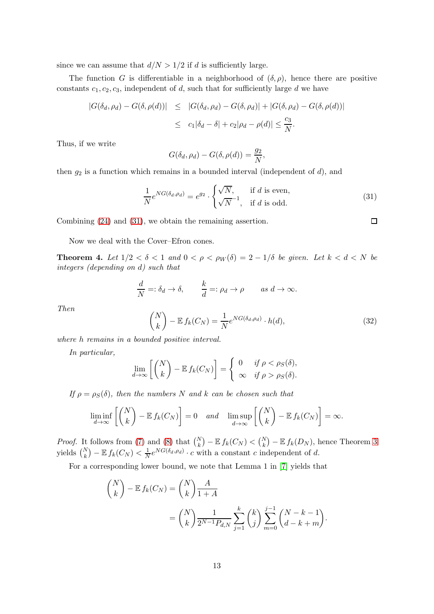since we can assume that  $d/N > 1/2$  if d is sufficiently large.

The function G is differentiable in a neighborhood of  $(\delta, \rho)$ , hence there are positive constants  $c_1, c_2, c_3$ , independent of d, such that for sufficiently large d we have

$$
|G(\delta_d, \rho_d) - G(\delta, \rho(d))| \leq |G(\delta_d, \rho_d) - G(\delta, \rho_d)| + |G(\delta, \rho_d) - G(\delta, \rho(d))|
$$
  

$$
\leq c_1|\delta_d - \delta| + c_2|\rho_d - \rho(d)| \leq \frac{c_3}{N}.
$$

Thus, if we write

$$
G(\delta_d, \rho_d) - G(\delta, \rho(d)) = \frac{g_2}{N},
$$

then  $g_2$  is a function which remains in a bounded interval (independent of  $d$ ), and

<span id="page-12-0"></span>
$$
\frac{1}{N}e^{NG(\delta_d,\rho_d)} = e^{g_2} \cdot \begin{cases} \sqrt{N}, & \text{if } d \text{ is even}, \\ \sqrt{N}^{-1}, & \text{if } d \text{ is odd}. \end{cases}
$$
\n(31)

Combining [\(24\)](#page-10-2) and [\(31\)](#page-12-0), we obtain the remaining assertion.

Now we deal with the Cover–Efron cones.

**Theorem 4.** Let  $1/2 < \delta < 1$  and  $0 < \rho < \rho_W(\delta) = 2 - 1/\delta$  be given. Let  $k < d < N$  be *integers (depending on* d*) such that*

$$
\frac{d}{N} =: \delta_d \to \delta, \qquad \frac{k}{d} =: \rho_d \to \rho \qquad \text{as } d \to \infty.
$$

*Then*

<span id="page-12-1"></span>
$$
\binom{N}{k} - \mathbb{E} f_k(C_N) = \frac{1}{N} e^{NG(\delta_d, \rho_d)} \cdot h(d),\tag{32}
$$

*where* h *remains in a bounded positive interval.*

*In particular,*

$$
\lim_{d \to \infty} \left[ \binom{N}{k} - \mathbb{E} f_k(C_N) \right] = \begin{cases} 0 & \text{if } \rho < \rho_S(\delta), \\ \infty & \text{if } \rho > \rho_S(\delta). \end{cases}
$$

*If*  $\rho = \rho_S(\delta)$ *, then the numbers* N *and* k *can be chosen such that* 

$$
\liminf_{d \to \infty} \left[ \binom{N}{k} - \mathbb{E} f_k(C_N) \right] = 0 \quad \text{and} \quad \limsup_{d \to \infty} \left[ \binom{N}{k} - \mathbb{E} f_k(C_N) \right] = \infty.
$$

*Proof.* It follows from [\(7\)](#page-2-5) and [\(8\)](#page-2-3) that  $\binom{N}{k} - \mathbb{E} f_k(C_N) < \binom{N}{k} - \mathbb{E} f_k(D_N)$ , hence Theorem [3](#page-10-3) yields  $\binom{N}{k} - \mathbb{E} f_k(C_N) < \frac{1}{N}$  $\frac{1}{N}e^{NG(\delta_d,\rho_d)} \cdot c$  with a constant c independent of d.

For a corresponding lower bound, we note that Lemma 1 in [\[7\]](#page-13-2) yields that

$$
\binom{N}{k} - \mathbb{E} f_k(C_N) = \binom{N}{k} \frac{A}{1+A}
$$

$$
= \binom{N}{k} \frac{1}{2^{N-1} P_{d,N}} \sum_{j=1}^k \binom{k}{j} \sum_{m=0}^{j-1} \binom{N-k-1}{d-k+m}.
$$

 $\Box$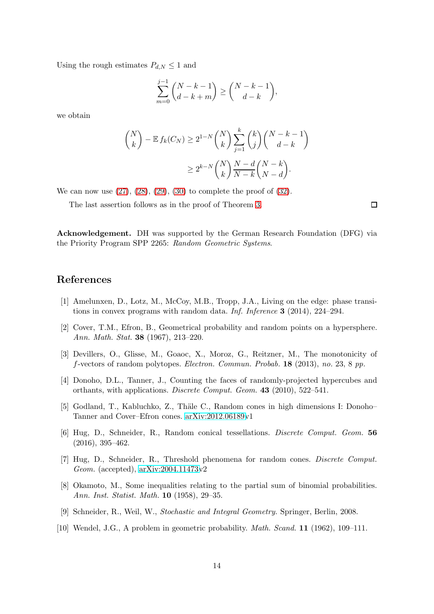Using the rough estimates  $P_{d,N} \leq 1$  and

$$
\sum_{m=0}^{j-1} {N-k-1 \choose d-k+m} \ge {N-k-1 \choose d-k},
$$

we obtain

$$
\binom{N}{k} - \mathbb{E} f_k(C_N) \ge 2^{1-N} \binom{N}{k} \sum_{j=1}^k \binom{k}{j} \binom{N-k-1}{d-k}
$$

$$
\ge 2^{k-N} \binom{N}{k} \frac{N-d}{N-k} \binom{N-k}{N-d}.
$$

We can now use  $(27)$ ,  $(28)$ ,  $(29)$ ,  $(30)$  to complete the proof of  $(32)$ .

The last assertion follows as in the proof of Theorem [3.](#page-10-3)

 $\Box$ 

Acknowledgement. DH was supported by the German Research Foundation (DFG) via the Priority Program SPP 2265: *Random Geometric Systems*.

## <span id="page-13-3"></span>References

- <span id="page-13-1"></span>[1] Amelunxen, D., Lotz, M., McCoy, M.B., Tropp, J.A., Living on the edge: phase transitions in convex programs with random data. *Inf. Inference* 3 (2014), 224–294.
- [2] Cover, T.M., Efron, B., Geometrical probability and random points on a hypersphere. *Ann. Math. Stat.* 38 (1967), 213–220.
- <span id="page-13-8"></span>[3] Devillers, O., Glisse, M., Goaoc, X., Moroz, G., Reitzner, M., The monotonicity of f-vectors of random polytopes. *Electron. Commun. Probab.* 18 (2013), *no.* 23, 8 *pp.*
- <span id="page-13-0"></span>[4] Donoho, D.L., Tanner, J., Counting the faces of randomly-projected hypercubes and orthants, with applications. *Discrete Comput. Geom.* 43 (2010), 522–541.
- <span id="page-13-7"></span><span id="page-13-4"></span>[5] Godland, T., Kabluchko, Z., Thäle C., Random cones in high dimensions I: Donoho– Tanner and Cover–Efron cones. [arXiv:2012.06189v](http://arxiv.org/abs/2012.06189)1
- [6] Hug, D., Schneider, R., Random conical tessellations. *Discrete Comput. Geom.* 56 (2016), 395–462.
- <span id="page-13-2"></span>[7] Hug, D., Schneider, R., Threshold phenomena for random cones. *Discrete Comput. Geom.* (accepted), [arXiv:2004.11473v](http://arxiv.org/abs/2004.11473)2
- <span id="page-13-9"></span>[8] Okamoto, M., Some inequalities relating to the partial sum of binomial probabilities. *Ann. Inst. Statist. Math.* 10 (1958), 29–35.
- <span id="page-13-6"></span><span id="page-13-5"></span>[9] Schneider, R., Weil, W., *Stochastic and Integral Geometry.* Springer, Berlin, 2008.
- [10] Wendel, J.G., A problem in geometric probability. *Math. Scand.* 11 (1962), 109–111.